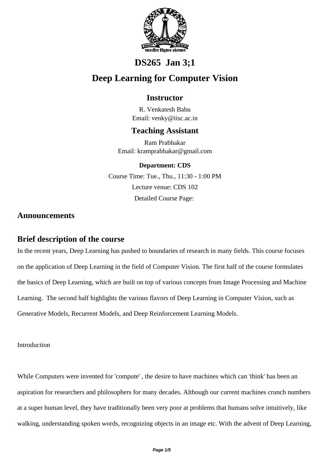

# **DS265 Jan 3;1**

# **Deep Learning for Computer Vision**

## **Instructor**

R. Venkatesh Babu Email: venky@iisc.ac.in

### **Teaching Assistant**

Ram Prabhakar Email: kramprabhakar@gmail.com

### **Department: CDS**

Course Time: Tue., Thu., 11:30 - 1:00 PM Lecture venue: CDS 102 Detailed Course Page:

### **Announcements**

## **Brief description of the course**

In the recent years, Deep Learning has pushed to boundaries of research in many fields. This course focuses on the application of Deep Learning in the field of Computer Vision. The first half of the course formulates the basics of Deep Learning, which are built on top of various concepts from Image Processing and Machine Learning. The second half highlights the various flavors of Deep Learning in Computer Vision, such as Generative Models, Recurrent Models, and Deep Reinforcement Learning Models.

Introduction

While Computers were invented for 'compute' , the desire to have machines which can 'think' has been an aspiration for researchers and philosophers for many decades. Although our current machines crunch numbers at a super human level, they have traditionally been very poor at problems that humans solve intuitively, like walking, understanding spoken words, recognizing objects in an image etc. With the advent of Deep Learning,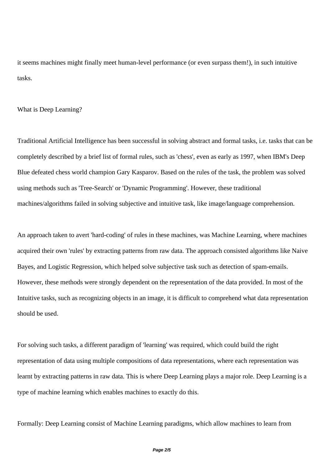it seems machines might finally meet human-level performance (or even surpass them!), in such intuitive tasks.

#### What is Deep Learning?

Traditional Artificial Intelligence has been successful in solving abstract and formal tasks, i.e. tasks that can be completely described by a brief list of formal rules, such as 'chess', even as early as 1997, when IBM's Deep Blue defeated chess world champion Gary Kasparov. Based on the rules of the task, the problem was solved using methods such as 'Tree-Search' or 'Dynamic Programming'. However, these traditional machines/algorithms failed in solving subjective and intuitive task, like image/language comprehension.

An approach taken to avert 'hard-coding' of rules in these machines, was Machine Learning, where machines acquired their own 'rules' by extracting patterns from raw data. The approach consisted algorithms like Naive Bayes, and Logistic Regression, which helped solve subjective task such as detection of spam-emails. However, these methods were strongly dependent on the representation of the data provided. In most of the Intuitive tasks, such as recognizing objects in an image, it is difficult to comprehend what data representation should be used.

For solving such tasks, a different paradigm of 'learning' was required, which could build the right representation of data using multiple compositions of data representations, where each representation was learnt by extracting patterns in raw data. This is where Deep Learning plays a major role. Deep Learning is a type of machine learning which enables machines to exactly do this.

Formally: Deep Learning consist of Machine Learning paradigms, which allow machines to learn from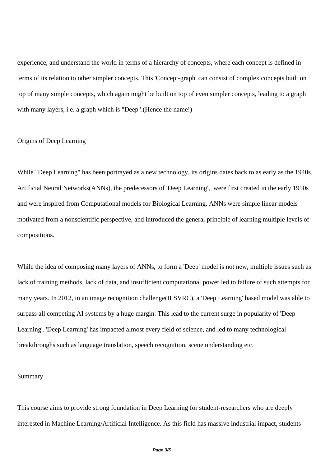experience, and understand the world in terms of a hierarchy of concepts, where each concept is defined in terms of its relation to other simpler concepts. This 'Concept-graph' can consist of complex concepts built on top of many simple concepts, which again might be built on top of even simpler concepts, leading to a graph with many layers, i.e. a graph which is "Deep". (Hence the name!)

#### Origins of Deep Learning

While "Deep Learning" has been portrayed as a new technology, its origins dates back to as early as the 1940s. Artificial Neural Networks(ANNs), the predecessors of 'Deep Learning', were first created in the early 1950s and were inspired from Computational models for Biological Learning. ANNs were simple linear models motivated from a nonscientific perspective, and introduced the general principle of learning multiple levels of compositions.

While the idea of composing many layers of ANNs, to form a 'Deep' model is not new, multiple issues such as lack of training methods, lack of data, and insufficient computational power led to failure of such attempts for many years. In 2012, in an image recognition challenge(ILSVRC), a 'Deep Learning' based model was able to surpass all competing AI systems by a huge margin. This lead to the current surge in popularity of 'Deep Learning'. 'Deep Learning' has impacted almost every field of science, and led to many technological breakthroughs such as language translation, speech recognition, scene understanding etc.

#### Summary

This course aims to provide strong foundation in Deep Learning for student-researchers who are deeply interested in Machine Learning/Artificial Intelligence. As this field has massive industrial impact, students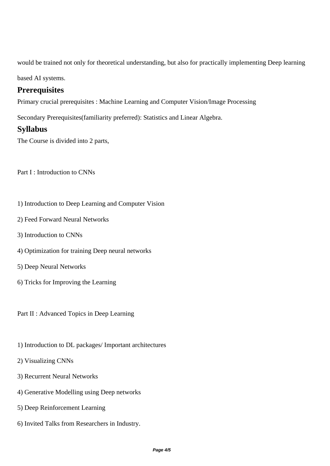would be trained not only for theoretical understanding, but also for practically implementing Deep learning

based AI systems.

## **Prerequisites**

Primary crucial prerequisites : Machine Learning and Computer Vision/Image Processing

Secondary Prerequisites(familiarity preferred): Statistics and Linear Algebra.

### **Syllabus**

The Course is divided into 2 parts,

Part I : Introduction to CNNs

- 1) Introduction to Deep Learning and Computer Vision
- 2) Feed Forward Neural Networks
- 3) Introduction to CNNs
- 4) Optimization for training Deep neural networks
- 5) Deep Neural Networks
- 6) Tricks for Improving the Learning

Part II : Advanced Topics in Deep Learning

- 1) Introduction to DL packages/ Important architectures
- 2) Visualizing CNNs
- 3) Recurrent Neural Networks
- 4) Generative Modelling using Deep networks
- 5) Deep Reinforcement Learning
- 6) Invited Talks from Researchers in Industry.